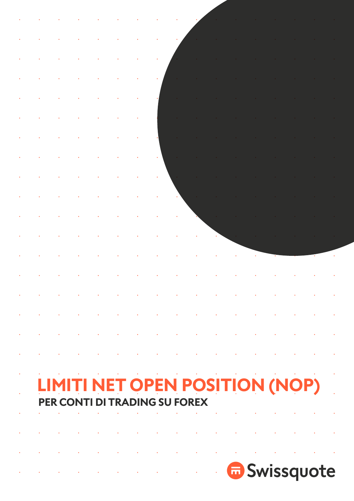|                            |                                                                                                       |                           |  |                                                                                                        |  |  |  |                                                                                                                        | a construction of the construction of the construction of the construction of the construction of the construction                                                                                                                                                                                                                                                                                                                                          |  |
|----------------------------|-------------------------------------------------------------------------------------------------------|---------------------------|--|--------------------------------------------------------------------------------------------------------|--|--|--|------------------------------------------------------------------------------------------------------------------------|-------------------------------------------------------------------------------------------------------------------------------------------------------------------------------------------------------------------------------------------------------------------------------------------------------------------------------------------------------------------------------------------------------------------------------------------------------------|--|
|                            |                                                                                                       |                           |  |                                                                                                        |  |  |  |                                                                                                                        | and the second control of the second control of the second control of the second control of the second control of                                                                                                                                                                                                                                                                                                                                           |  |
|                            |                                                                                                       |                           |  |                                                                                                        |  |  |  |                                                                                                                        | and the second contract of the second contract of the second contract of the second contract of the                                                                                                                                                                                                                                                                                                                                                         |  |
|                            |                                                                                                       |                           |  |                                                                                                        |  |  |  |                                                                                                                        | and the second control of the second control of the second control of the second control of the second control                                                                                                                                                                                                                                                                                                                                              |  |
| $\Delta \phi$              |                                                                                                       |                           |  | $\mathcal{L}(\mathcal{A})$ . The contribution of the contribution of the contribution of $\mathcal{A}$ |  |  |  |                                                                                                                        | $\mathcal{O}(\mathcal{O}(n^2))$ . The second constraints of the second constraints of the second constraints of $\mathcal{O}(n^2)$                                                                                                                                                                                                                                                                                                                          |  |
|                            |                                                                                                       |                           |  |                                                                                                        |  |  |  |                                                                                                                        | and the state of the state of the state of the state of the state of the state of the state of the state of th                                                                                                                                                                                                                                                                                                                                              |  |
|                            |                                                                                                       |                           |  |                                                                                                        |  |  |  |                                                                                                                        | and the second contract of the second contract of the second contract of the second contract of the                                                                                                                                                                                                                                                                                                                                                         |  |
|                            |                                                                                                       |                           |  |                                                                                                        |  |  |  |                                                                                                                        | the contract of the contract of the contract of the contract of the contract of the contract of the                                                                                                                                                                                                                                                                                                                                                         |  |
| $\mathcal{L}_{\text{max}}$ | $\mathcal{L}^{\text{max}}_{\text{max}}$ and $\mathcal{L}^{\text{max}}_{\text{max}}$                   |                           |  |                                                                                                        |  |  |  |                                                                                                                        | $\mathcal{L}(\mathcal{L}(\mathcal{L}(\mathcal{L}(\mathcal{L}(\mathcal{L}(\mathcal{L}(\mathcal{L}(\mathcal{L}(\mathcal{L}(\mathcal{L}(\mathcal{L}(\mathcal{L}(\mathcal{L}(\mathcal{L}(\mathcal{L}(\mathcal{L}(\mathcal{L}(\mathcal{L}(\mathcal{L}(\mathcal{L}(\mathcal{L}(\mathcal{L}(\mathcal{L}(\mathcal{L}(\mathcal{L}(\mathcal{L}(\mathcal{L}(\mathcal{L}(\mathcal{L}(\mathcal{L}(\mathcal{L}(\mathcal{L}(\mathcal{L}(\mathcal{L}(\mathcal{L}(\mathcal{$ |  |
| $\langle \cdot \rangle$    | $\mathcal{L}^{\text{max}}(\mathbf{r},\mathbf{r})$ , $\mathcal{L}^{\text{max}}(\mathbf{r},\mathbf{r})$ |                           |  |                                                                                                        |  |  |  |                                                                                                                        | $\mathcal{L}(\mathcal{A})$ and $\mathcal{L}(\mathcal{A})$ are the set of $\mathcal{A}$ . The set of the set of $\mathcal{A}$ is a set of $\mathcal{A}$                                                                                                                                                                                                                                                                                                      |  |
|                            |                                                                                                       |                           |  |                                                                                                        |  |  |  |                                                                                                                        | and the contract of the contract of the contract of the contract of the contract of the contract of the contract of                                                                                                                                                                                                                                                                                                                                         |  |
| $\Delta \phi = 0.01$       |                                                                                                       | $\sim 10^{11}$ km $^{-1}$ |  |                                                                                                        |  |  |  |                                                                                                                        | and the second control of the second control of the second control of the second control of the second control of                                                                                                                                                                                                                                                                                                                                           |  |
| $\sim$                     |                                                                                                       |                           |  |                                                                                                        |  |  |  |                                                                                                                        | and the second contract of the second contract of the second contract of the second contract of the second contract of                                                                                                                                                                                                                                                                                                                                      |  |
|                            |                                                                                                       |                           |  |                                                                                                        |  |  |  |                                                                                                                        | والمتواصل والمستنقص والمستنقص والمستنقص والمستنقص والمستنقص والمستنقص والمستنقص والمستنقص                                                                                                                                                                                                                                                                                                                                                                   |  |
|                            |                                                                                                       |                           |  |                                                                                                        |  |  |  |                                                                                                                        |                                                                                                                                                                                                                                                                                                                                                                                                                                                             |  |
|                            |                                                                                                       |                           |  |                                                                                                        |  |  |  |                                                                                                                        |                                                                                                                                                                                                                                                                                                                                                                                                                                                             |  |
|                            |                                                                                                       |                           |  |                                                                                                        |  |  |  |                                                                                                                        |                                                                                                                                                                                                                                                                                                                                                                                                                                                             |  |
|                            |                                                                                                       |                           |  |                                                                                                        |  |  |  |                                                                                                                        |                                                                                                                                                                                                                                                                                                                                                                                                                                                             |  |
|                            |                                                                                                       |                           |  |                                                                                                        |  |  |  | . The simulation of the simulation of the simulation of the simulation of the simulation of $\mathcal{O}(\mathcal{A})$ |                                                                                                                                                                                                                                                                                                                                                                                                                                                             |  |
|                            |                                                                                                       |                           |  | <b>RADING SU FOREX</b>                                                                                 |  |  |  | <b>LIMITI NET OPEN POSITION (NOP)</b>                                                                                  |                                                                                                                                                                                                                                                                                                                                                                                                                                                             |  |
|                            |                                                                                                       |                           |  |                                                                                                        |  |  |  |                                                                                                                        |                                                                                                                                                                                                                                                                                                                                                                                                                                                             |  |
|                            |                                                                                                       |                           |  |                                                                                                        |  |  |  |                                                                                                                        |                                                                                                                                                                                                                                                                                                                                                                                                                                                             |  |
|                            |                                                                                                       |                           |  |                                                                                                        |  |  |  |                                                                                                                        |                                                                                                                                                                                                                                                                                                                                                                                                                                                             |  |
|                            |                                                                                                       |                           |  |                                                                                                        |  |  |  |                                                                                                                        | <b>Example 2018</b> Swissquote                                                                                                                                                                                                                                                                                                                                                                                                                              |  |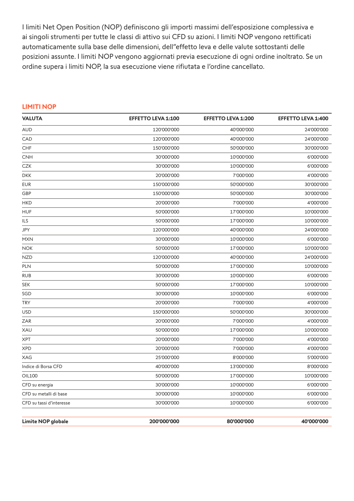I limiti Net Open Position (NOP) definiscono gli importi massimi dell'esposizione complessiva e ai singoli strumenti per tutte le classi di attivo sui CFD su azioni. I limiti NOP vengono rettificati automaticamente sulla base delle dimensioni, dell"effetto leva e delle valute sottostanti delle posizioni assunte. I limiti NOP vengono aggiornati previa esecuzione di ogni ordine inoltrato. Se un ordine supera i limiti NOP, la sua esecuzione viene rifiutata e l'ordine cancellato.

| <b>VALUTA</b>            | <b>EFFETTO LEVA 1:100</b> | <b>EFFETTO LEVA 1:200</b> | <b>EFFETTO LEVA 1:400</b> |
|--------------------------|---------------------------|---------------------------|---------------------------|
| <b>AUD</b>               | 120'000'000               | 40'000'000                | 24'000'000                |
| CAD                      | 120'000'000               | 40'000'000                | 24'000'000                |
| <b>CHF</b>               | 150'000'000               | 50'000'000                | 30'000'000                |
| <b>CNH</b>               | 30'000'000                | 10'000'000                | 6'000'000                 |
| CZK                      | 30'000'000                | 10'000'000                | 6'000'000                 |
| <b>DKK</b>               | 20'000'000                | 7'000'000                 | 4'000'000                 |
| <b>EUR</b>               | 150'000'000               | 50'000'000                | 30'000'000                |
| GBP                      | 150'000'000               | 50'000'000                | 30'000'000                |
| <b>HKD</b>               | 20'000'000                | 7'000'000                 | 4'000'000                 |
| <b>HUF</b>               | 50'000'000                | 17'000'000                | 10'000'000                |
| ILS                      | 50'000'000                | 17'000'000                | 10'000'000                |
| JPY                      | 120'000'000               | 40'000'000                | 24'000'000                |
| <b>MXN</b>               | 30'000'000                | 10'000'000                | 6'000'000                 |
| <b>NOK</b>               | 50'000'000                | 17'000'000                | 10'000'000                |
| <b>NZD</b>               | 120'000'000               | 40'000'000                | 24'000'000                |
| <b>PLN</b>               | 50'000'000                | 17'000'000                | 10'000'000                |
| <b>RUB</b>               | 30'000'000                | 10'000'000                | 6'000'000                 |
| <b>SEK</b>               | 50'000'000                | 17'000'000                | 10'000'000                |
| SGD                      | 30'000'000                | 10'000'000                | 6'000'000                 |
| <b>TRY</b>               | 20'000'000                | 7'000'000                 | 4'000'000                 |
| <b>USD</b>               | 150'000'000               | 50'000'000                | 30'000'000                |
| ZAR                      | 20'000'000                | 7'000'000                 | 4'000'000                 |
| XAU                      | 50'000'000                | 17'000'000                | 10'000'000                |
| <b>XPT</b>               | 20'000'000                | 7'000'000                 | 4'000'000                 |
| <b>XPD</b>               | 20'000'000                | 7'000'000                 | 4'000'000                 |
| XAG                      | 25'000'000                | 8'000'000                 | 5'000'000                 |
| Indice di Borsa CFD      | 40'000'000                | 13'000'000                | 8'000'000                 |
| OIL100                   | 50'000'000                | 17'000'000                | 10'000'000                |
| CFD su energia           | 30'000'000                | 10'000'000                | 6'000'000                 |
| CFD su metalli di base   | 30'000'000                | 10'000'000                | 6'000'000                 |
| CFD su tassi d'interesse | 30'000'000                | 10'000'000                | 6'000'000                 |
| Limite NOP globale       | 200'000'000               | 80'000'000                | 40'000'000                |
|                          |                           |                           |                           |

#### **LIMITI NOP**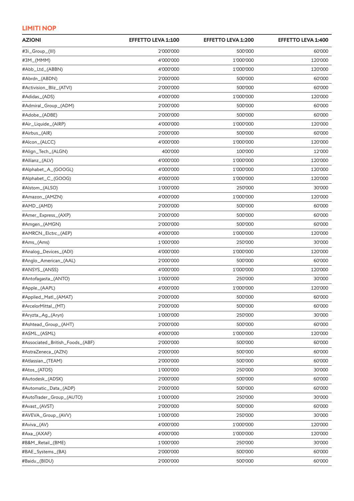## **LIMITI NOP**

| <b>AZIONI</b>                   | <b>EFFETTO LEVA 1:100</b> | <b>EFFETTO LEVA 1:200</b> | <b>EFFETTO LEVA 1:400</b> |
|---------------------------------|---------------------------|---------------------------|---------------------------|
| #3i_Group_(III)                 | 2'000'000                 | 500'000                   | 60'000                    |
| #3M_(MMM)                       | 4'000'000                 | 1'000'000                 | 120'000                   |
| #Abb_Ltd_(ABBN)                 | 4'000'000                 | 1'000'000                 | 120'000                   |
| #Abrdn_(ABDN)                   | 2'000'000                 | 500'000                   | 60'000                    |
| #Activision_Bliz_(ATVI)         | 2'000'000                 | 500'000                   | 60'000                    |
| #Adidas_(ADS)                   | 4'000'000                 | 1'000'000                 | 120'000                   |
| #Admiral_Group_(ADM)            | 2'000'000                 | 500'000                   | 60'000                    |
| #Adobe_(ADBE)                   | 2'000'000                 | 500'000                   | 60'000                    |
| #Air_Liquide_(AIRP)             | 4'000'000                 | 1'000'000                 | 120'000                   |
| #Airbus_(AIR)                   | 2'000'000                 | 500'000                   | 60'000                    |
| #Alcon_(ALCC)                   | 4'000'000                 | 1'000'000                 | 120'000                   |
| #Align_Tech_(ALGN)              | 400'000                   | 100'000                   | 12'000                    |
| #Allianz_(ALV)                  | 4'000'000                 | 1'000'000                 | 120'000                   |
| #Alphabet_A_(GOOGL)             | 4'000'000                 | 1'000'000                 | 120'000                   |
| #Alphabet_C_(GOOG)              | 4'000'000                 | 1'000'000                 | 120'000                   |
| #Alstom_(ALSO)                  | 1'000'000                 | 250'000                   | 30'000                    |
| #Amazon_(AMZN)                  | 4'000'000                 | 1'000'000                 | 120'000                   |
| #AMD_(AMD)                      | 2'000'000                 | 500'000                   | 60'000                    |
| #Amer_Express_(AXP)             | 2'000'000                 | 500'000                   | 60'000                    |
| #Amgen_(AMGN)                   | 2'000'000                 | 500'000                   | 60'000                    |
| #AMRCN_Elctrc_(AEP)             | 4'000'000                 | 1'000'000                 | 120'000                   |
| #Ams_(Ams)                      | 1'000'000                 | 250'000                   | 30'000                    |
| #Analog_Devices_(ADI)           | 4'000'000                 | 1'000'000                 | 120'000                   |
| #Anglo_American_(AAL)           | 2'000'000                 | 500'000                   | 60'000                    |
| #ANSYS_(ANSS)                   | 4'000'000                 | 1'000'000                 | 120'000                   |
| #Antofagasta_(ANTO)             | 1'000'000                 | 250'000                   | 30'000                    |
| #Apple_(AAPL)                   | 4'000'000                 | 1'000'000                 | 120'000                   |
| #Applied_Matl_(AMAT)            | 2'000'000                 | 500'000                   | 60'000                    |
| #ArcelorMittal_(MT)             | 2'000'000                 | 500'000                   | 60'000                    |
| #Aryzta_Ag_(Aryn)               | 1'000'000                 | 250'000                   | 30'000                    |
| #Ashtead_Group_(AHT)            | 2'000'000                 | 500'000                   | 60'000                    |
| #ASML_(ASML)                    | 4'000'000                 | 1'000'000                 | 120'000                   |
| #Associated_British_Foods_(ABF) | 2'000'000                 | 500'000                   | 60'000                    |
| #AstraZeneca_(AZN)              | 2'000'000                 | 500'000                   | 60'000                    |
| #Atlassian_(TEAM)               | 2'000'000                 | 500'000                   | 60'000                    |
| #Atos_(ATOS)                    | 1'000'000                 | 250'000                   | 30'000                    |
| #Autodesk_(ADSK)                | 2'000'000                 | 500'000                   | 60'000                    |
| #Automatic_Data_(ADP)           | 2'000'000                 | 500'000                   | 60'000                    |
| #AutoTrader_Group_(AUTO)        | 1'000'000                 | 250'000                   | 30'000                    |
| #Avast_(AVST)                   | 2'000'000                 | 500'000                   | 60'000                    |
| #AVEVA_Group_(AVV)              | 1'000'000                 | 250'000                   | 30'000                    |
| #Aviva_(AV)                     | 4'000'000                 | 1'000'000                 | 120'000                   |
| #Axa_(AXAF)                     | 4'000'000                 | 1'000'000                 | 120'000                   |
| #B&M_Retail_(BME)               | 1'000'000                 | 250'000                   | 30'000                    |
| #BAE_Systems_(BA)               | 2'000'000                 | 500'000                   | 60'000                    |
| #Baidu_(BIDU)                   | 2'000'000                 | 500'000                   | 60'000                    |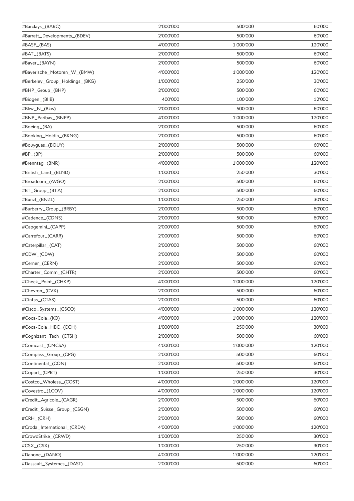| #Barclays_(BARC)               | 2'000'000 | 500'000   | 60'000  |
|--------------------------------|-----------|-----------|---------|
| #Barratt_Developments_(BDEV)   | 2'000'000 | 500'000   | 60'000  |
| #BASF_(BAS)                    | 4'000'000 | 1'000'000 | 120'000 |
| #BAT_(BATS)                    | 2'000'000 | 500'000   | 60'000  |
| #Bayer_(BAYN)                  | 2'000'000 | 500'000   | 60'000  |
| #Bayerische_Motoren_W_(BMW)    | 4'000'000 | 1'000'000 | 120'000 |
| #Berkeley_Group_Holdings_(BKG) | 1'000'000 | 250'000   | 30'000  |
| #BHP_Group_(BHP)               | 2'000'000 | 500'000   | 60'000  |
| #Biogen_(BIIB)                 | 400'000   | 100'000   | 12'000  |
| #Bkw_N_(Bkw)                   | 2'000'000 | 500'000   | 60'000  |
| #BNP_Paribas_(BNPP)            | 4'000'000 | 1'000'000 | 120'000 |
| #Boeing_(BA)                   | 2'000'000 | 500'000   | 60'000  |
| #Booking_Holdin_(BKNG)         | 2'000'000 | 500'000   | 60'000  |
| #Bouygues_(BOUY)               | 2'000'000 | 500'000   | 60'000  |
| $HBP_{-}(BP)$                  | 2'000'000 | 500'000   | 60'000  |
| #Brenntag_(BNR)                | 4'000'000 | 1'000'000 | 120'000 |
| #British_Land_(BLND)           | 1'000'000 | 250'000   | 30'000  |
| #Broadcom_(AVGO)               | 2'000'000 | 500'000   | 60'000  |
| #BT_Group_(BT.A)               | 2'000'000 | 500'000   | 60'000  |
| #Bunzl_(BNZL)                  | 1'000'000 | 250'000   | 30'000  |
| #Burberry_Group_(BRBY)         | 2'000'000 | 500'000   | 60'000  |
| #Cadence_(CDNS)                | 2'000'000 | 500'000   | 60'000  |
| #Capgemini_(CAPP)              | 2'000'000 | 500'000   | 60'000  |
| #Carrefour_(CARR)              | 2'000'000 | 500'000   | 60'000  |
| #Caterpillar_(CAT)             | 2'000'000 | 500'000   | 60'000  |
| #CDW_(CDW)                     | 2'000'000 | 500'000   | 60'000  |
| #Cerner_(CERN)                 | 2'000'000 | 500'000   | 60'000  |
| #Charter_Comm_(CHTR)           | 2'000'000 | 500'000   | 60'000  |
| #Check_Point_(CHKP)            | 4'000'000 | 1'000'000 | 120'000 |
| #Chevron_(CVX)                 | 2'000'000 | 500'000   | 60'000  |
| #Cintas_(CTAS)                 | 2'000'000 | 500'000   | 60'000  |
| #Cisco_Systems_(CSCO)          | 4'000'000 | 1'000'000 | 120'000 |
| #Coca-Cola_(KO)                | 4'000'000 | 1'000'000 | 120'000 |
| #Coca-Cola_HBC_(CCH)           | 1'000'000 | 250'000   | 30'000  |
| #Cognizant_Tech_(CTSH)         | 2'000'000 | 500'000   | 60'000  |
| #Comcast_(CMCSA)               | 4'000'000 | 1'000'000 | 120'000 |
| #Compass_Group_(CPG)           | 2'000'000 | 500'000   | 60'000  |
| #Continental_(CON)             | 2'000'000 | 500'000   | 60'000  |
| #Copart_(CPRT)                 | 1'000'000 | 250'000   | 30'000  |
| #Costco_Wholesa_(COST)         | 4'000'000 | 1'000'000 | 120'000 |
| #Covestro_(1COV)               | 4'000'000 | 1'000'000 | 120'000 |
| #Credit_Agricole_(CAGR)        | 2'000'000 | 500'000   | 60'000  |
| #Credit_Suisse_Group_(CSGN)    | 2'000'000 | 500'000   | 60'000  |
| #CRH_(CRH)                     | 2'000'000 | 500'000   | 60'000  |
| #Croda_International_(CRDA)    | 4'000'000 | 1'000'000 | 120'000 |
| #CrowdStrike_(CRWD)            | 1'000'000 | 250'000   | 30'000  |
| #CSX_(CSX)                     | 1'000'000 | 250'000   | 30'000  |
| #Danone_(DANO)                 | 4'000'000 | 1'000'000 | 120'000 |
| #Dassault_Systemes_(DAST)      | 2'000'000 | 500'000   | 60'000  |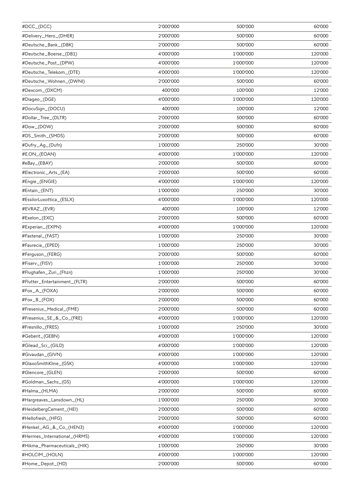| #DCC_(DCC)                    | 2'000'000 | 500'000   | 60'000  |
|-------------------------------|-----------|-----------|---------|
| #Delivery_Hero_(DHER)         | 2'000'000 | 500'000   | 60'000  |
| #Deutsche_Bank_(DBK)          | 2'000'000 | 500'000   | 60'000  |
| #Deutsche_Boerse_(DB1)        | 4'000'000 | 1'000'000 | 120'000 |
| #Deutsche_Post_(DPW)          | 4'000'000 | 1'000'000 | 120'000 |
| #Deutsche_Telekom_(DTE)       | 4'000'000 | 1'000'000 | 120'000 |
| #Deutsche_Wohnen_(DWNI)       | 2'000'000 | 500'000   | 60'000  |
| #Dexcom_(DXCM)                | 400'000   | 100'000   | 12'000  |
| #Diageo_(DGE)                 | 4'000'000 | 1'000'000 | 120'000 |
| #DocuSign_(DOCU)              | 400'000   | 100'000   | 12'000  |
| #Dollar_Tree_(DLTR)           | 2'000'000 | 500'000   | 60'000  |
| #Dow_(DOW)                    | 2'000'000 | 500'000   | 60'000  |
| #DS_Smith_(SMDS)              | 2'000'000 | 500'000   | 60'000  |
| #Dufry_Ag_(Dufn)              | 1'000'000 | 250'000   | 30'000  |
| #E.ON_(EOAN)                  | 4'000'000 | 1'000'000 | 120'000 |
| #eBay_(EBAY)                  | 2'000'000 | 500'000   | 60'000  |
| #Electronic_Arts_(EA)         | 2'000'000 | 500'000   | 60'000  |
| #Engie_(ENGIE)                | 4'000'000 | 1'000'000 | 120'000 |
| #Entain_(ENT)                 | 1'000'000 | 250'000   | 30'000  |
| #EssilorLuxottica_(ESLX)      | 4'000'000 | 1'000'000 | 120'000 |
| #EVRAZ_(EVR)                  | 400'000   | 100'000   | 12'000  |
| #Exelon_(EXC)                 | 2'000'000 | 500'000   | 60'000  |
| #Experian_(EXPN)              | 4'000'000 | 1'000'000 | 120'000 |
| #Fastenal_(FAST)              | 1'000'000 | 250'000   | 30'000  |
| #Faurecia_(EPED)              | 1'000'000 | 250'000   | 30'000  |
| #Ferguson_(FERG)              | 2'000'000 | 500'000   | 60'000  |
| #Fiserv_(FISV)                | 1'000'000 | 250'000   | 30'000  |
| #Flughafen_Zuri_(Fhzn)        | 1'000'000 | 250'000   | 30'000  |
| #Flutter_Entertainment_(FLTR) | 2'000'000 | 500'000   | 60'000  |
| #Fox_A_(FOXA)                 | 2'000'000 | 500'000   | 60'000  |
| #Fox_B_(FOX)                  | 2'000'000 | 500'000   | 60'000  |
| #Fresenius_Medical_(FME)      | 2'000'000 | 500'000   | 60'000  |
| #Fresenius_SE_&_Co_(FRE)      | 4'000'000 | 1'000'000 | 120'000 |
| #Fresnillo_(FRES)             | 1'000'000 | 250'000   | 30'000  |
| #Geberit_(GEBN)               | 4'000'000 | 1'000'000 | 120'000 |
| #Gilead_Sci_(GILD)            | 4'000'000 | 1'000'000 | 120'000 |
| #Givaudan_(GIVN)              | 4'000'000 | 1'000'000 | 120'000 |
| #GlaxoSmithKline_(GSK)        | 4'000'000 | 1'000'000 | 120'000 |
| #Glencore_(GLEN)              | 2'000'000 | 500'000   | 60'000  |
| #Goldman_Sachs_(GS)           | 4'000'000 | 1'000'000 | 120'000 |
| #Halma_(HLMA)                 | 2'000'000 | 500'000   | 60'000  |
| #Hargreaves_Lansdown_(HL)     | 1'000'000 | 250'000   | 30'000  |
| #HeidelbergCement_(HEI)       | 2'000'000 | 500'000   | 60'000  |
| #Hellofresh_(HFG)             | 2'000'000 | 500'000   | 60'000  |
| #Henkel_AG_&_Co_(HEN3)        | 4'000'000 | 1'000'000 | 120'000 |
| #Hermes_International_(HRMS)  | 4'000'000 | 1'000'000 | 120'000 |
| #Hikma_Pharmaceuticals_(HIK)  | 1'000'000 | 250'000   | 30'000  |
| #HOLCIM_(HOLN)                | 4'000'000 | 1'000'000 | 120'000 |
| #Home_Depot_(HD)              | 2'000'000 | 500'000   | 60'000  |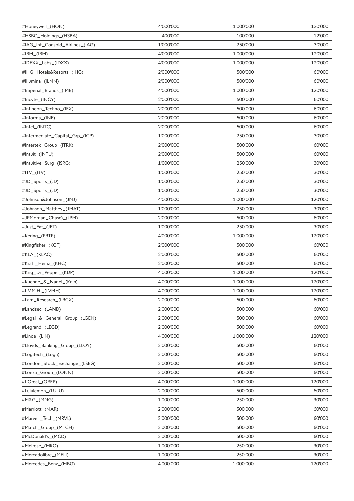| #Honeywell_(HON)                | 4'000'000 | 1'000'000 | 120'000 |
|---------------------------------|-----------|-----------|---------|
| #HSBC_Holdings_(HSBA)           | 400'000   | 100'000   | 12'000  |
| #IAG_Int_Consold_Airlines_(IAG) | 1'000'000 | 250'000   | 30'000  |
| #IBM_(IBM)                      | 4'000'000 | 1'000'000 | 120'000 |
| #IDEXX_Labs_(IDXX)              | 4'000'000 | 1'000'000 | 120'000 |
| #IHG_Hotels&Resorts_(IHG)       | 2'000'000 | 500'000   | 60'000  |
| #Illumina_(ILMN)                | 2'000'000 | 500'000   | 60'000  |
| #Imperial_Brands_(IMB)          | 4'000'000 | 1'000'000 | 120'000 |
| #Incyte_(INCY)                  | 2'000'000 | 500'000   | 60'000  |
| #Infineon_Techno_(IFX)          | 2'000'000 | 500'000   | 60'000  |
| #Informa_(INF)                  | 2'000'000 | 500'000   | 60'000  |
| #Intel_(INTC)                   | 2'000'000 | 500'000   | 60'000  |
| #Intermediate_Capital_Grp_(ICP) | 1'000'000 | 250'000   | 30'000  |
| #Intertek_Group_(ITRK)          | 2'000'000 | 500'000   | 60'000  |
| #Intuit_(INTU)                  | 2'000'000 | 500'000   | 60'000  |
| #Intuitive_Surg_(ISRG)          | 1'000'000 | 250'000   | 30'000  |
| #ITV_(ITV)                      | 1'000'000 | 250'000   | 30'000  |
| #JD_Sports_(JD)                 | 1'000'000 | 250'000   | 30'000  |
| #JD_Sports_(JD)                 | 1'000'000 | 250'000   | 30'000  |
| #Johnson&Johnson_(JNJ)          | 4'000'000 | 1'000'000 | 120'000 |
| #Johnson_Matthey_(JMAT)         | 1'000'000 | 250'000   | 30'000  |
| #JPMorgan_Chase)_(JPM)          | 2'000'000 | 500'000   | 60'000  |
| #Just_Eat_(JET)                 | 1'000'000 | 250'000   | 30'000  |
| #Kering_(PRTP)                  | 4'000'000 | 1'000'000 | 120'000 |
| #Kingfisher_(KGF)               | 2'000'000 | 500'000   | 60'000  |
| #KLA_(KLAC)                     | 2'000'000 | 500'000   | 60'000  |
| #Kraft_Heinz_(KHC)              | 2'000'000 | 500'000   | 60'000  |
| #Krig_Dr_Pepper_(KDP)           | 4'000'000 | 1'000'000 | 120'000 |
| #Kuehne_&_Nagel_(Knin)          | 4'000'000 | 1'000'000 | 120'000 |
| #L.V.M.H._(LVMH)                | 4'000'000 | 1'000'000 | 120'000 |
| #Lam_Research_(LRCX)            | 2'000'000 | 500'000   | 60'000  |
| #Landsec_(LAND)                 | 2'000'000 | 500'000   | 60'000  |
| #Legal_&_General_Group_(LGEN)   | 2'000'000 | 500'000   | 60'000  |
| #Legrand_(LEGD)                 | 2'000'000 | 500'000   | 60'000  |
| #Linde_(LIN)                    | 4'000'000 | 1'000'000 | 120'000 |
| #Lloyds_Banking_Group_(LLOY)    | 2'000'000 | 500'000   | 60'000  |
| #Logitech_(Logn)                | 2'000'000 | 500'000   | 60'000  |
| #London_Stock_Exchange_(LSEG)   | 2'000'000 | 500'000   | 60'000  |
| #Lonza_Group_(LONN)             | 2'000'000 | 500'000   | 60'000  |
| #L'Oreal_(OREP)                 | 4'000'000 | 1'000'000 | 120'000 |
| #Lululemon_(LULU)               | 2'000'000 | 500'000   | 60'000  |
| #M&G_(MNG)                      | 1'000'000 | 250'000   | 30'000  |
| #Marriott_(MAR)                 | 2'000'000 | 500'000   | 60'000  |
| #Marvell_Tech_(MRVL)            | 2'000'000 | 500'000   | 60'000  |
| #Match_Group_(MTCH)             | 2'000'000 | 500'000   | 60'000  |
| #McDonald's_(MCD)               | 2'000'000 | 500'000   | 60'000  |
| #Melrose_(MRO)                  | 1'000'000 | 250'000   | 30'000  |
| #Mercadolibre_(MELI)            | 1'000'000 | 250'000   | 30'000  |
| #Mercedes_Benz_(MBG)            | 4'000'000 | 1'000'000 | 120'000 |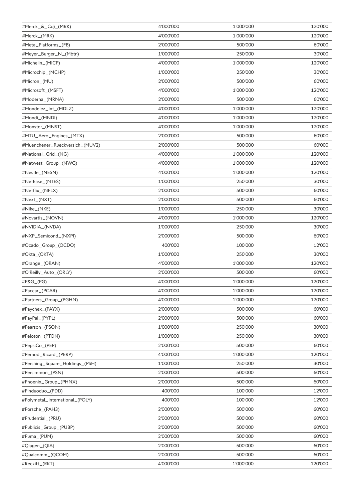| #Merck_&_Co)_(MRK)              | 4'000'000 | 1'000'000 | 120'000 |
|---------------------------------|-----------|-----------|---------|
| #Merck_(MRK)                    | 4'000'000 | 1'000'000 | 120'000 |
| #Meta_Platforms_(FB)            | 2'000'000 | 500'000   | 60'000  |
| #Meyer_Burger_N_(Mbtn)          | 1'000'000 | 250'000   | 30'000  |
| #Michelin_(MICP)                | 4'000'000 | 1'000'000 | 120'000 |
| #Microchip_(MCHP)               | 1'000'000 | 250'000   | 30'000  |
| #Micron_(MU)                    | 2'000'000 | 500'000   | 60'000  |
| #Microsoft_(MSFT)               | 4'000'000 | 1'000'000 | 120'000 |
| #Moderna_(MRNA)                 | 2'000'000 | 500'000   | 60'000  |
| #Mondelez_Int_(MDLZ)            | 4'000'000 | 1'000'000 | 120'000 |
| #Mondi_(MNDI)                   | 4'000'000 | 1'000'000 | 120'000 |
| #Monster_(MNST)                 | 4'000'000 | 1'000'000 | 120'000 |
| #MTU_Aero_Engines_(MTX)         | 2'000'000 | 500'000   | 60'000  |
| #Muenchener_Rueckversich_(MUV2) | 2'000'000 | 500'000   | 60'000  |
| #National_Grid_(NG)             | 4'000'000 | 1'000'000 | 120'000 |
| #Natwest_Group_(NWG)            | 4'000'000 | 1'000'000 | 120'000 |
| #Nestle_(NESN)                  | 4'000'000 | 1'000'000 | 120'000 |
| #NetEase_(NTES)                 | 1'000'000 | 250'000   | 30'000  |
| #Netflix_(NFLX)                 | 2'000'000 | 500'000   | 60'000  |
| #Next_(NXT)                     | 2'000'000 | 500'000   | 60'000  |
| #Nike_(NKE)                     | 1'000'000 | 250'000   | 30'000  |
| #Novartis_(NOVN)                | 4'000'000 | 1'000'000 | 120'000 |
| #NVIDIA_(NVDA)                  | 1'000'000 | 250'000   | 30'000  |
| #NXP_Semicond_(NXPI)            | 2'000'000 | 500'000   | 60'000  |
| #Ocado_Group_(OCDO)             | 400'000   | 100'000   | 12'000  |
| #Okta_(OKTA)                    | 1'000'000 | 250'000   | 30'000  |
| #Orange_(ORAN)                  | 4'000'000 | 1'000'000 | 120'000 |
| #O'Reilly_Auto_(ORLY)           | 2'000'000 | 500'000   | 60'000  |
| #P&G_(PG)                       | 4'000'000 | 1'000'000 | 120'000 |
| #Paccar_(PCAR)                  | 4'000'000 | 1'000'000 | 120'000 |
| #Partners_Group_(PGHN)          | 4'000'000 | 1'000'000 | 120'000 |
| #Paychex_(PAYX)                 | 2'000'000 | 500'000   | 60'000  |
| #PayPal_(PYPL)                  | 2'000'000 | 500'000   | 60'000  |
| #Pearson_(PSON)                 | 1'000'000 | 250'000   | 30'000  |
| #Peloton_(PTON)                 | 1'000'000 | 250'000   | 30'000  |
| #PepsiCo_(PEP)                  | 2'000'000 | 500'000   | 60'000  |
| #Pernod_Ricard_(PERP)           | 4'000'000 | 1'000'000 | 120'000 |
| #Pershing_Square_Holdings_(PSH) | 1'000'000 | 250'000   | 30'000  |
| #Persimmon_(PSN)                | 2'000'000 | 500'000   | 60'000  |
| #Phoenix_Group_(PHNX)           | 2'000'000 | 500'000   | 60'000  |
| #Pinduoduo_(PDD)                | 400'000   | 100'000   | 12'000  |
| #Polymetal_International_(POLY) | 400'000   | 100'000   | 12'000  |
| #Porsche_(PAH3)                 | 2'000'000 | 500'000   | 60'000  |
| #Prudential_(PRU)               | 2'000'000 | 500'000   | 60'000  |
| #Publicis_Group_(PUBP)          | 2'000'000 | 500'000   | 60'000  |
| #Puma_(PUM)                     | 2'000'000 | 500'000   | 60'000  |
| #Qiagen_(QIA)                   | 2'000'000 | 500'000   | 60'000  |
| #Qualcomm_(QCOM)                | 2'000'000 | 500'000   | 60'000  |
| #Reckitt_(RKT)                  | 4'000'000 | 1'000'000 | 120'000 |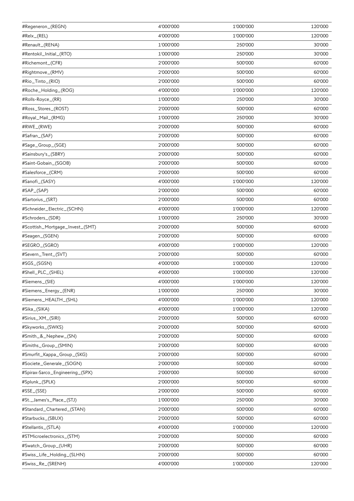| #Regeneron_(REGN)               | 4'000'000 | 1'000'000 | 120'000 |
|---------------------------------|-----------|-----------|---------|
| #Relx_(REL)                     | 4'000'000 | 1'000'000 | 120'000 |
| #Renault_(RENA)                 | 1'000'000 | 250'000   | 30'000  |
| #Rentokil_Initial_(RTO)         | 1'000'000 | 250'000   | 30'000  |
| #Richemont_(CFR)                | 2'000'000 | 500'000   | 60'000  |
| #Rightmove_(RMV)                | 2'000'000 | 500'000   | 60'000  |
| #Rio_Tinto_(RIO)                | 2'000'000 | 500'000   | 60'000  |
| #Roche_Holding_(ROG)            | 4'000'000 | 1'000'000 | 120'000 |
| #Rolls-Royce_(RR)               | 1'000'000 | 250'000   | 30'000  |
| #Ross_Stores_(ROST)             | 2'000'000 | 500'000   | 60'000  |
| #Royal_Mail_(RMG)               | 1'000'000 | 250'000   | 30'000  |
| #RWE_(RWE)                      | 2'000'000 | 500'000   | 60'000  |
| #Safran_(SAF)                   | 2'000'000 | 500'000   | 60'000  |
| #Sage_Group_(SGE)               | 2'000'000 | 500'000   | 60'000  |
| #Sainsbury's_(SBRY)             | 2'000'000 | 500'000   | 60'000  |
| #Saint-Gobain_(SGOB)            | 2'000'000 | 500'000   | 60'000  |
| #Salesforce_(CRM)               | 2'000'000 | 500'000   | 60'000  |
| #Sanofi_(SASY)                  | 4'000'000 | 1'000'000 | 120'000 |
| #SAP_(SAP)                      | 2'000'000 | 500'000   | 60'000  |
| #Sartorius_(SRT)                | 2'000'000 | 500'000   | 60'000  |
| #Schneider_Electric_(SCHN)      | 4'000'000 | 1'000'000 | 120'000 |
| #Schroders_(SDR)                | 1'000'000 | 250'000   | 30'000  |
| #Scottish_Mortgage_Invest_(SMT) | 2'000'000 | 500'000   | 60'000  |
| #Seagen_(SGEN)                  | 2'000'000 | 500'000   | 60'000  |
| #SEGRO_(SGRO)                   | 4'000'000 | 1'000'000 | 120'000 |
| #Severn_Trent_(SVT)             | 2'000'000 | 500'000   | 60'000  |
| #SGS_(SGSN)                     | 4'000'000 | 1'000'000 | 120'000 |
| #Shell_PLC_(SHEL)               | 4'000'000 | 1'000'000 | 120'000 |
| #Siemens_(SIE)                  | 4'000'000 | 1'000'000 | 120'000 |
| #Siemens_Energy_(ENR)           | 1'000'000 | 250'000   | 30'000  |
| #Siemens_HEALTH_(SHL)           | 4'000'000 | 1'000'000 | 120'000 |
| #Sika_(SIKA)                    | 4'000'000 | 1'000'000 | 120'000 |
| #Sirius_XM_(SIRI)               | 2'000'000 | 500'000   | 60'000  |
| #Skyworks_(SWKS)                | 2'000'000 | 500'000   | 60'000  |
| #Smith_&_Nephew_(SN)            | 2'000'000 | 500'000   | 60'000  |
| #Smiths_Group_(SMIN)            | 2'000'000 | 500'000   | 60'000  |
| #Smurfit_Kappa_Group_(SKG)      | 2'000'000 | 500'000   | 60'000  |
| #Societe_Generale_(SOGN)        | 2'000'000 | 500'000   | 60'000  |
| #Spirax-Sarco_Engineering_(SPX) | 2'000'000 | 500'000   | 60'000  |
| #Splunk_(SPLK)                  | 2'000'000 | 500'000   | 60'000  |
| #SSE_(SSE)                      | 2'000'000 | 500'000   | 60'000  |
| #St._James's_Place_(STJ)        | 1'000'000 | 250'000   | 30'000  |
| #Standard_Chartered_(STAN)      | 2'000'000 | 500'000   | 60'000  |
| #Starbucks_(SBUX)               | 2'000'000 | 500'000   | 60'000  |
| #Stellantis_(STLA)              | 4'000'000 | 1'000'000 | 120'000 |
| #STMicroelectronics_(STM)       | 2'000'000 | 500'000   | 60'000  |
| #Swatch_Group_(UHR)             | 2'000'000 | 500'000   | 60'000  |
| #Swiss_Life_Holding_(SLHN)      | 2'000'000 | 500'000   | 60'000  |
| #Swiss_Re_(SRENH)               | 4'000'000 | 1'000'000 | 120'000 |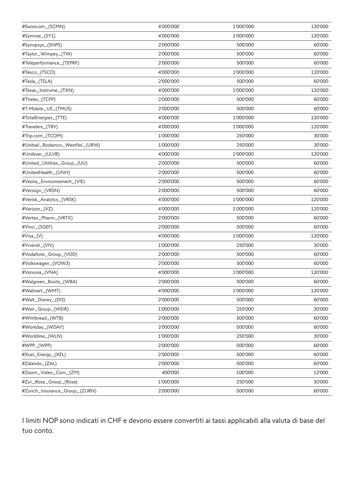| #Swisscom_(SCMN)                | 4'000'000 | 1'000'000 | 120'000 |
|---------------------------------|-----------|-----------|---------|
| #Symrise_(SY1)                  | 4'000'000 | 1'000'000 | 120'000 |
| #Synopsys_(SNPS)                | 2'000'000 | 500'000   | 60'000  |
| #Taylor_Wimpey_(TW)             | 2'000'000 | 500'000   | 60'000  |
| #Teleperformance_(TEPRF)        | 2'000'000 | 500'000   | 60'000  |
| #Tesco_(TSCO)                   | 4'000'000 | 1'000'000 | 120'000 |
| #Tesla_(TSLA)                   | 2'000'000 | 500'000   | 60'000  |
| #Texas_Instrume_(TXN)           | 4'000'000 | 1'000'000 | 120'000 |
| #Thales_(TCFP)                  | 2'000'000 | 500'000   | 60'000  |
| #T-Mobile_US_(TMUS)             | 2'000'000 | 500'000   | 60'000  |
| #TotalEnergies_(TTE)            | 4'000'000 | 1'000'000 | 120'000 |
| #Travelers_(TRV)                | 4'000'000 | 1'000'000 | 120'000 |
| #Trip.com_(TCOM)                | 1'000'000 | 250'000   | 30'000  |
| #Unibail_Rodamco_Westfiel_(URW) | 1'000'000 | 250'000   | 30'000  |
| #Unilever_(ULVR)                | 4'000'000 | 1'000'000 | 120'000 |
| #United_Utilities_Group_(UU)    | 2'000'000 | 500'000   | 60'000  |
| #UnitedHealth_(UNH)             | 2'000'000 | 500'000   | 60'000  |
| #Veolia_Environnement_(VIE)     | 2'000'000 | 500'000   | 60'000  |
| #Verisign_(VRSN)                | 2'000'000 | 500'000   | 60'000  |
| #Verisk_Analytcs_(VRSK)         | 4'000'000 | 1'000'000 | 120'000 |
| #Verizon_(VZ)                   | 4'000'000 | 1'000'000 | 120'000 |
| #Vertex_Pharm_(VRTX)            | 2'000'000 | 500'000   | 60'000  |
| #Vinci_(SGEF)                   | 2'000'000 | 500'000   | 60'000  |
| #Visa_(V)                       | 4'000'000 | 1'000'000 | 120'000 |
| #Vivendi_(VIV)                  | 1'000'000 | 250'000   | 30'000  |
| #Vodafone_Group_(VOD)           | 2'000'000 | 500'000   | 60'000  |
| #Volkswagen_(VOW3)              | 2'000'000 | 500'000   | 60'000  |
| #Vonovia_(VNA)                  | 4'000'000 | 1'000'000 | 120'000 |
| #Walgreen_Boots_(WBA)           | 2'000'000 | 500'000   | 60'000  |
| #Walmart_(WMT)                  | 4'000'000 | 1'000'000 | 120'000 |
| #Walt_Disney_(DIS)              | 2'000'000 | 500'000   | 60'000  |
| #Weir_Group_(WEIR)              | 1'000'000 | 250'000   | 30'000  |
| #Whitbread_(WTB)                | 2'000'000 | 500'000   | 60'000  |
| #Workday_(WDAY)                 | 2'000'000 | 500'000   | 60'000  |
| #Worldline_(WLN)                | 1'000'000 | 250'000   | 30'000  |
| #WPP_(WPP)                      | 2'000'000 | 500'000   | 60'000  |
| #Xcel_Energy_(XEL)              | 2'000'000 | 500'000   | 60'000  |
| #Zalando_(ZAL)                  | 2'000'000 | 500'000   | 60'000  |
| #Zoom_Video_Com_(ZM)            | 400'000   | 100'000   | 12'000  |
| #Zur_Rose_Group_(Rose)          | 1'000'000 | 250'000   | 30'000  |
| #Zurich_Insurance_Group_(ZURN)  | 2'000'000 | 500'000   | 60'000  |

I limiti NOP sono indicati in CHF e devono essere convertiti ai tassi applicabili alla valuta di base del tuo conto.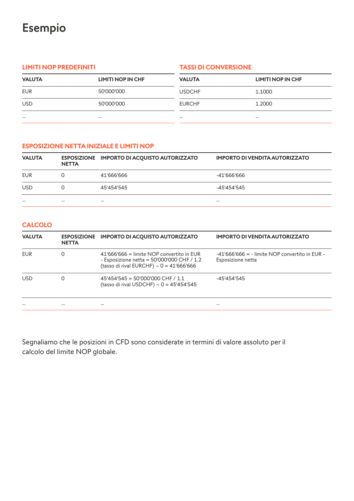# Esempio

### **LIMITI NOP PREDEFINITI**

## **TASSI DI CONVERSIONE**

| <b>VALUTA</b> | LIMITI NOP IN CHF | <b>VALUTA</b> | LIMITI NOP IN CHF |
|---------------|-------------------|---------------|-------------------|
| <b>EUR</b>    | 50'000'000        | <b>USDCHF</b> | 1.1000            |
| <b>USD</b>    | 50'000'000        | <b>EURCHF</b> | 1.2000            |
| $\cdots$      | $\cdots$          | $\cdots$      | $\cdots$          |

#### **ESPOSIZIONE NETTA INIZIALE E LIMITI NOP**

| <b>VALUTA</b> | <b>NETTA</b> | ESPOSIZIONE IMPORTO DI ACQUISTO AUTORIZZATO | <b>IMPORTO DI VENDITA AUTORIZZATO</b> |
|---------------|--------------|---------------------------------------------|---------------------------------------|
| EUR           | $\Omega$     | 41'666'666                                  | -41'666'666                           |
| <b>USD</b>    | 0            | 45'454'545                                  | -45'454'545                           |
| $\cdots$      |              | $\cdots$                                    |                                       |

## **CALCOLO**

| <b>VALUTA</b> | <b>NETTA</b> | ESPOSIZIONE IMPORTO DI ACQUISTO AUTORIZZATO                                                                                               | <b>IMPORTO DI VENDITA AUTORIZZATO</b>                                 |
|---------------|--------------|-------------------------------------------------------------------------------------------------------------------------------------------|-----------------------------------------------------------------------|
| EUR           | Ω            | $41'666'666$ = limite NOP convertito in EUR<br>- Esposizione netta = $50'000'000$ CHF / 1.2<br>(tasso di rival EURCHF) $- 0 = 41'666'666$ | $-41'666'666 = -$ limite NOP convertito in EUR -<br>Esposizione netta |
| <b>USD</b>    | Ω            | $45'454'545 = 50'000'000$ CHF / 1.1<br>(tasso di rival USDCHF) $- 0 = 45'454'545$                                                         | -45'454'545                                                           |
| $\cdots$      |              |                                                                                                                                           |                                                                       |

Segnaliamo che le posizioni in CFD sono considerate in termini di valore assoluto per il calcolo del limite NOP globale.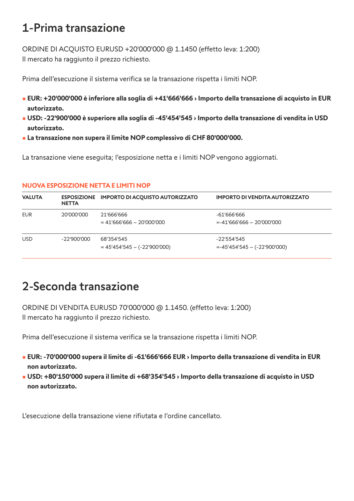# 1-Prima transazione

ORDINE DI ACQUISTO EURUSD +20'000'000 @ 1.1450 (effetto leva: 1:200) Il mercato ha raggiunto il prezzo richiesto.

Prima dell'esecuzione il sistema verifica se la transazione rispetta i limiti NOP.

- **• EUR: +20'000'000 è inferiore alla soglia di +41'666'666 › Importo della transazione di acquisto in EUR autorizzato.**
- **• USD: -22'900'000 è superiore alla soglia di -45'454'545 › Importo della transazione di vendita in USD autorizzato.**
- **La transazione non supera il limite NOP complessivo di CHF 80'000'000.**

La transazione viene eseguita; l'esposizione netta e i limiti NOP vengono aggiornati.

| <b>VALUTA</b> | <b>NETTA</b>  | ESPOSIZIONE IMPORTO DI ACQUISTO AUTORIZZATO  | <b>IMPORTO DI VENDITA AUTORIZZATO</b>            |
|---------------|---------------|----------------------------------------------|--------------------------------------------------|
| EUR           | 20'000'000    | 21'666'666<br>$= 41'666'666 - 20'000'000$    | $-61'666'666$<br>$= -41'666'666 - 20'000'000$    |
| <b>USD</b>    | $-22'900'000$ | 68'354'545<br>$= 45'454'545 - (-22'900'000)$ | $-22'554'545$<br>$= -45'454'545 - (-22'900'000)$ |

## **NUOVA ESPOSIZIONE NETTA E LIMITI NOP**

## 2-Seconda transazione

ORDINE DI VENDITA EURUSD 70'000'000 @ 1.1450. (effetto leva: 1:200) Il mercato ha raggiunto il prezzo richiesto.

Prima dell'esecuzione il sistema verifica se la transazione rispetta i limiti NOP.

- **• EUR: -70'000'000 supera il limite di -61'666'666 EUR › Importo della transazione di vendita in EUR non autorizzato.**
- **• USD: +80'150'000 supera il limite di +68'354'545 › Importo della transazione di acquisto in USD non autorizzato.**

L'esecuzione della transazione viene rifiutata e l'ordine cancellato.